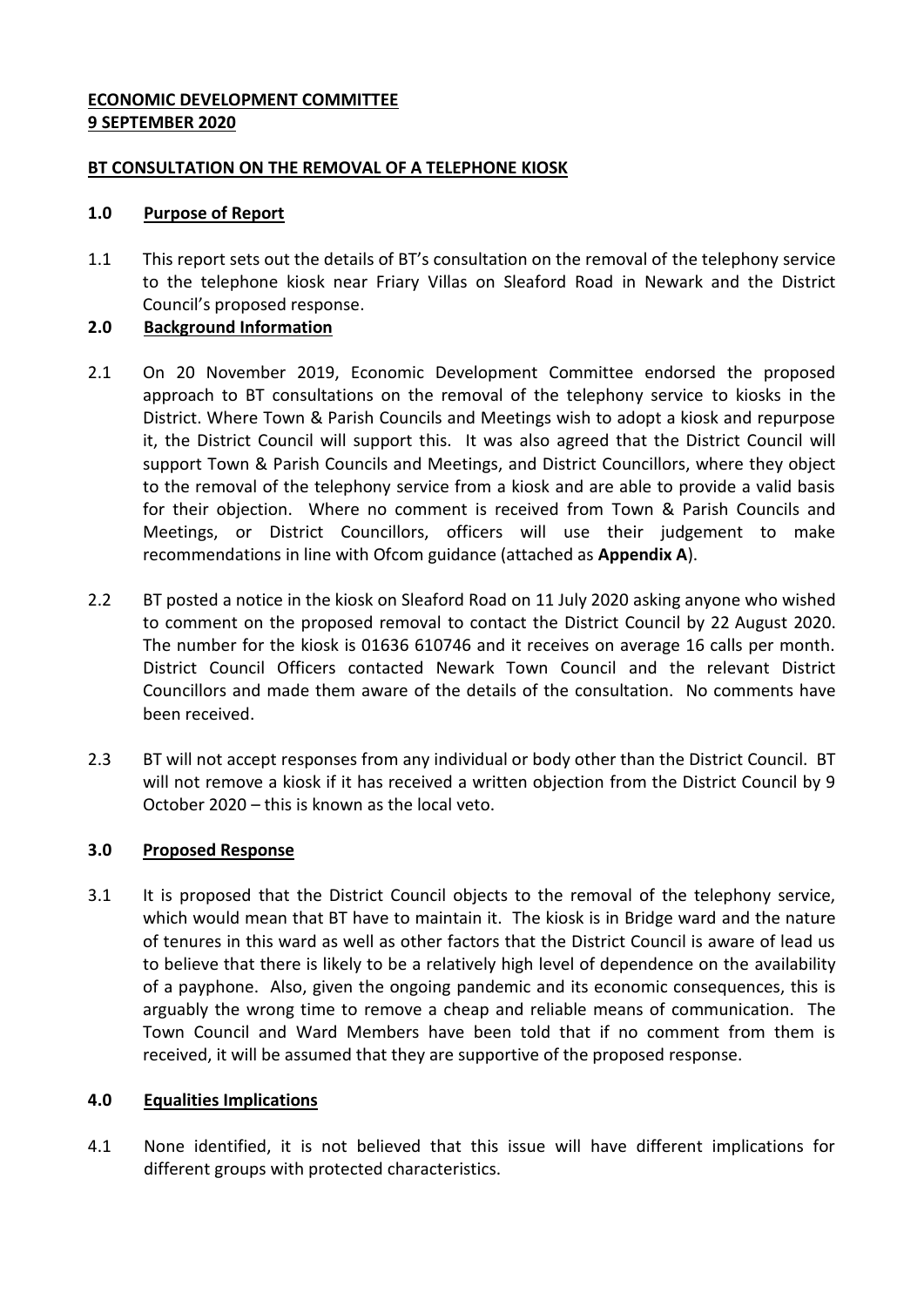## **ECONOMIC DEVELOPMENT COMMITTEE 9 SEPTEMBER 2020**

### **BT CONSULTATION ON THE REMOVAL OF A TELEPHONE KIOSK**

### **1.0 Purpose of Report**

1.1 This report sets out the details of BT's consultation on the removal of the telephony service to the telephone kiosk near Friary Villas on Sleaford Road in Newark and the District Council's proposed response.

# **2.0 Background Information**

- 2.1 On 20 November 2019, Economic Development Committee endorsed the proposed approach to BT consultations on the removal of the telephony service to kiosks in the District. Where Town & Parish Councils and Meetings wish to adopt a kiosk and repurpose it, the District Council will support this. It was also agreed that the District Council will support Town & Parish Councils and Meetings, and District Councillors, where they object to the removal of the telephony service from a kiosk and are able to provide a valid basis for their objection. Where no comment is received from Town & Parish Councils and Meetings, or District Councillors, officers will use their judgement to make recommendations in line with Ofcom guidance (attached as **Appendix A**).
- 2.2 BT posted a notice in the kiosk on Sleaford Road on 11 July 2020 asking anyone who wished to comment on the proposed removal to contact the District Council by 22 August 2020. The number for the kiosk is 01636 610746 and it receives on average 16 calls per month. District Council Officers contacted Newark Town Council and the relevant District Councillors and made them aware of the details of the consultation. No comments have been received.
- 2.3 BT will not accept responses from any individual or body other than the District Council. BT will not remove a kiosk if it has received a written objection from the District Council by 9 October 2020 – this is known as the local veto.

# **3.0 Proposed Response**

3.1 It is proposed that the District Council objects to the removal of the telephony service, which would mean that BT have to maintain it. The kiosk is in Bridge ward and the nature of tenures in this ward as well as other factors that the District Council is aware of lead us to believe that there is likely to be a relatively high level of dependence on the availability of a payphone. Also, given the ongoing pandemic and its economic consequences, this is arguably the wrong time to remove a cheap and reliable means of communication. The Town Council and Ward Members have been told that if no comment from them is received, it will be assumed that they are supportive of the proposed response.

#### **4.0 Equalities Implications**

4.1 None identified, it is not believed that this issue will have different implications for different groups with protected characteristics.